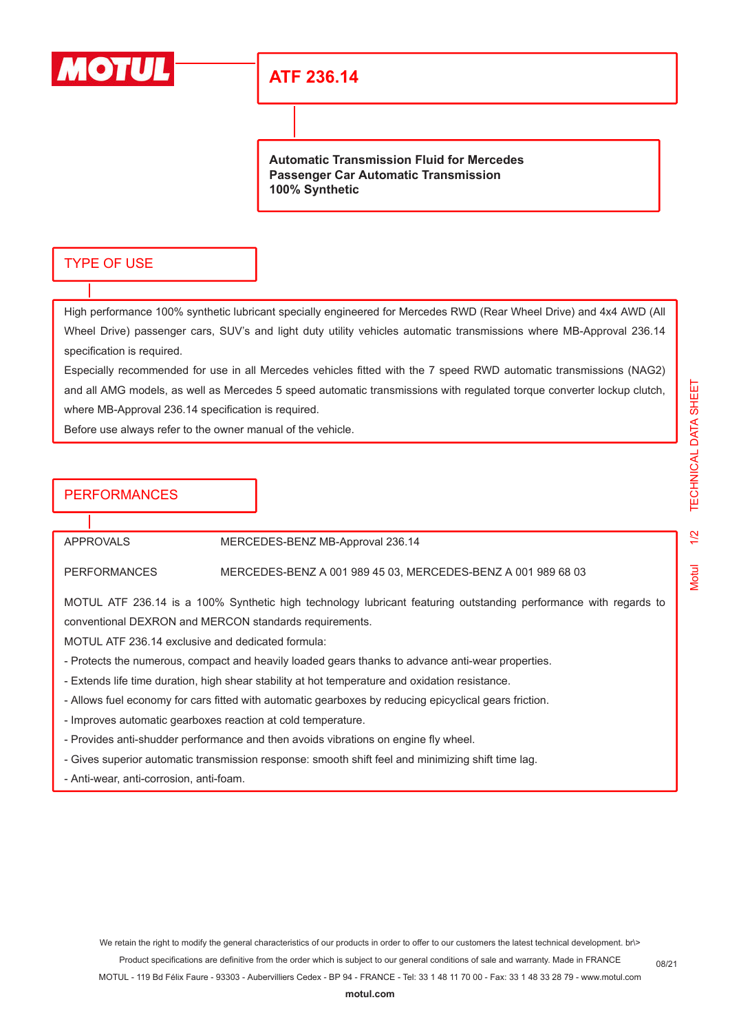

## **ATF 236.14**

**Automatic Transmission Fluid for Mercedes Passenger Car Automatic Transmission 100% Synthetic**

### TYPE OF USE

High performance 100% synthetic lubricant specially engineered for Mercedes RWD (Rear Wheel Drive) and 4x4 AWD (All Wheel Drive) passenger cars, SUV's and light duty utility vehicles automatic transmissions where MB-Approval 236.14 specification is required.

Especially recommended for use in all Mercedes vehicles fitted with the 7 speed RWD automatic transmissions (NAG2) and all AMG models, as well as Mercedes 5 speed automatic transmissions with regulated torque converter lockup clutch, where MB-Approval 236.14 specification is required.

Before use always refer to the owner manual of the vehicle.

## **PERFORMANCES**

APPROVALS MERCEDES-BENZ MB-Approval 236.14

PERFORMANCES MERCEDES-BENZ A 001 989 45 03, MERCEDES-BENZ A 001 989 68 03

MOTUL ATF 236.14 is a 100% Synthetic high technology lubricant featuring outstanding performance with regards to conventional DEXRON and MERCON standards requirements.

MOTUL ATF 236.14 exclusive and dedicated formula:

- Protects the numerous, compact and heavily loaded gears thanks to advance anti-wear properties.
- Extends life time duration, high shear stability at hot temperature and oxidation resistance.
- Allows fuel economy for cars fitted with automatic gearboxes by reducing epicyclical gears friction.
- Improves automatic gearboxes reaction at cold temperature.
- Provides anti-shudder performance and then avoids vibrations on engine fly wheel.
- Gives superior automatic transmission response: smooth shift feel and minimizing shift time lag.
- Anti-wear, anti-corrosion, anti-foam.

**[motul.com](http://www.motul.com)**